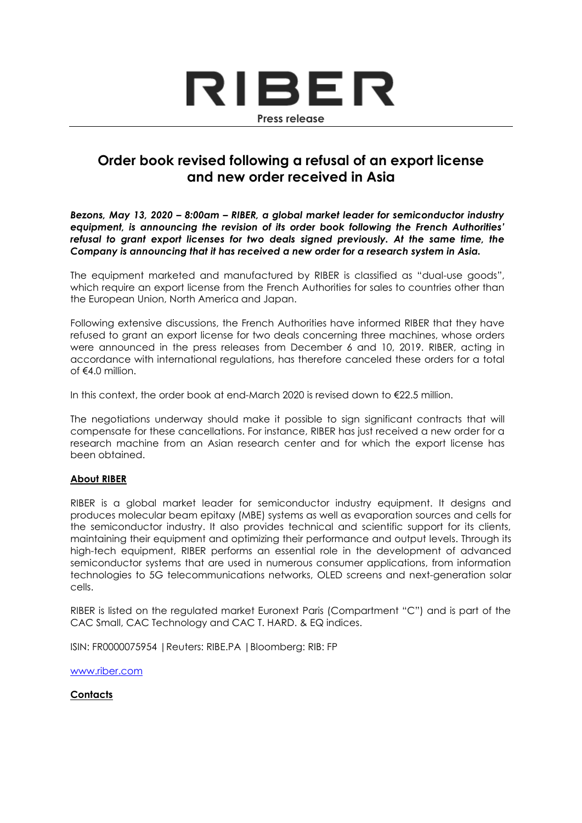

## **Order book revised following a refusal of an export license and new order received in Asia**

*Bezons, May 13, 2020 – 8:00am – RIBER, a global market leader for semiconductor industry equipment, is announcing the revision of its order book following the French Authorities' refusal to grant export licenses for two deals signed previously. At the same time, the Company is announcing that it has received a new order for a research system in Asia.*

The equipment marketed and manufactured by RIBER is classified as "dual-use goods", which require an export license from the French Authorities for sales to countries other than the European Union, North America and Japan.

Following extensive discussions, the French Authorities have informed RIBER that they have refused to grant an export license for two deals concerning three machines, whose orders were announced in the press releases from December 6 and 10, 2019. RIBER, acting in accordance with international regulations, has therefore canceled these orders for a total of  $\notin \Delta$  0 million

In this context, the order book at end-March 2020 is revised down to €22.5 million.

The negotiations underway should make it possible to sign significant contracts that will compensate for these cancellations. For instance, RIBER has just received a new order for a research machine from an Asian research center and for which the export license has been obtained.

## **About RIBER**

RIBER is a global market leader for semiconductor industry equipment. It designs and produces molecular beam epitaxy (MBE) systems as well as evaporation sources and cells for the semiconductor industry. It also provides technical and scientific support for its clients, maintaining their equipment and optimizing their performance and output levels. Through its high-tech equipment, RIBER performs an essential role in the development of advanced semiconductor systems that are used in numerous consumer applications, from information technologies to 5G telecommunications networks, OLED screens and next-generation solar cells.

RIBER is listed on the regulated market Euronext Paris (Compartment "C") and is part of the CAC Small, CAC Technology and CAC T. HARD. & EQ indices.

ISIN: FR0000075954 |Reuters: RIBE.PA |Bloomberg: RIB: FP

[www.riber.com](http://www.riber.com/)

## **Contacts**